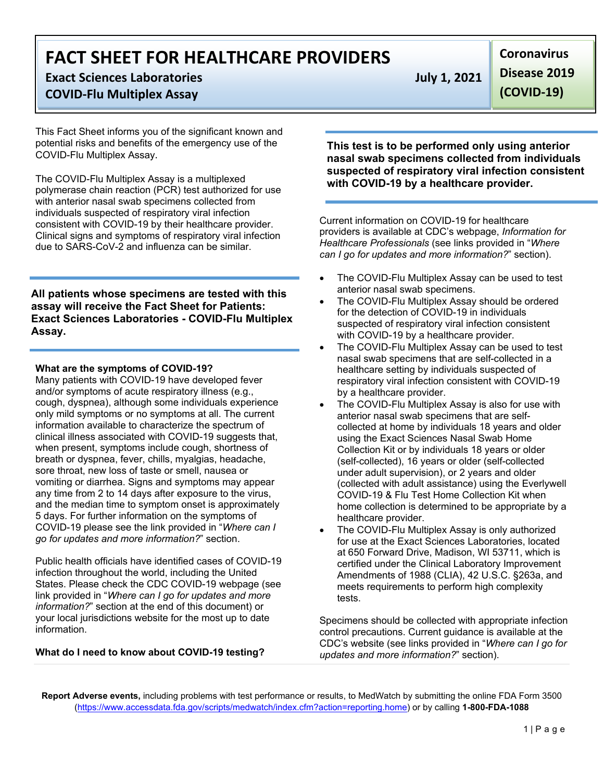# **Exact Sciences Laboratories July 1, 2021**

### **COVID-Flu Multiplex Assay**

This Fact Sheet informs you of the significant known and potential risks and benefits of the emergency use of the COVID-Flu Multiplex Assay.

The COVID-Flu Multiplex Assay is a multiplexed polymerase chain reaction (PCR) test authorized for use with anterior nasal swab specimens collected from individuals suspected of respiratory viral infection consistent with COVID-19 by their healthcare provider. Clinical signs and symptoms of respiratory viral infection due to SARS-CoV-2 and influenza can be similar.

**All patients whose specimens are tested with this assay will receive the Fact Sheet for Patients: Exact Sciences Laboratories - COVID-Flu Multiplex Assay.**

#### **What are the symptoms of COVID-19?**

Many patients with COVID-19 have developed fever and/or symptoms of acute respiratory illness (e.g., cough, dyspnea), although some individuals experience only mild symptoms or no symptoms at all. The current information available to characterize the spectrum of clinical illness associated with COVID-19 suggests that, when present, symptoms include cough, shortness of breath or dyspnea, fever, chills, myalgias, headache, sore throat, new loss of taste or smell, nausea or vomiting or diarrhea. Signs and symptoms may appear any time from 2 to 14 days after exposure to the virus, and the median time to symptom onset is approximately 5 days. For further information on the symptoms of COVID-19 please see the link provided in "*Where can I go for updates and more information?*" section.

Public health officials have identified cases of COVID-19 infection throughout the world, including the United States. Please check the CDC COVID-19 webpage (see link provided in "*Where can I go for updates and more information?*" section at the end of this document) or your local jurisdictions website for the most up to date information.

#### **What do I need to know about COVID-19 testing?**

**Coronavirus Disease 2019 (COVID-19)**

**This test is to be performed only using anterior nasal swab specimens collected from individuals suspected of respiratory viral infection consistent with COVID-19 by a healthcare provider.**

Current information on COVID-19 for healthcare providers is available at CDC's webpage, *Information for Healthcare Professionals* (see links provided in "*Where can I go for updates and more information?*" section).

- The COVID-Flu Multiplex Assay can be used to test anterior nasal swab specimens.
- The COVID-Flu Multiplex Assay should be ordered for the detection of COVID-19 in individuals suspected of respiratory viral infection consistent with COVID-19 by a healthcare provider.
- The COVID-Flu Multiplex Assay can be used to test nasal swab specimens that are self-collected in a healthcare setting by individuals suspected of respiratory viral infection consistent with COVID-19 by a healthcare provider.
- The COVID-Flu Multiplex Assay is also for use with anterior nasal swab specimens that are selfcollected at home by individuals 18 years and older using the Exact Sciences Nasal Swab Home Collection Kit or by individuals 18 years or older (self-collected), 16 years or older (self-collected under adult supervision), or 2 years and older (collected with adult assistance) using the Everlywell COVID-19 & Flu Test Home Collection Kit when home collection is determined to be appropriate by a healthcare provider.
- The COVID-Flu Multiplex Assay is only authorized for use at the Exact Sciences Laboratories, located at 650 Forward Drive, Madison, WI 53711, which is certified under the Clinical Laboratory Improvement Amendments of 1988 (CLIA), 42 U.S.C. §263a, and meets requirements to perform high complexity tests.

Specimens should be collected with appropriate infection control precautions. Current guidance is available at the CDC's website (see links provided in "*Where can I go for updates and more information?*" section).

**Report Adverse events,** including problems with test performance or results, to MedWatch by submitting the online FDA Form 3500 [\(https://www.accessdata.fda.gov/scripts/medwatch/index.cfm?action=reporting.home\)](https://www.accessdata.fda.gov/scripts/medwatch/index.cfm?action=reporting.home) or by calling **1-800-FDA-1088**

1 | Page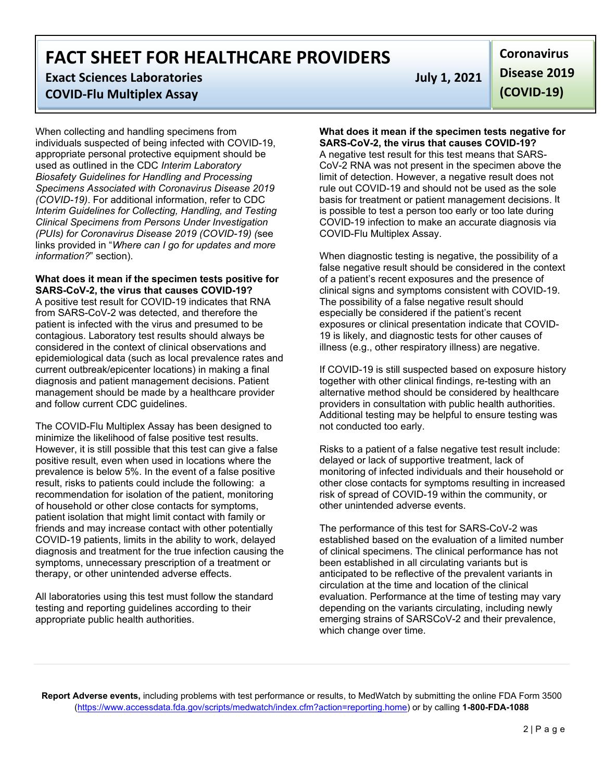### **Exact Sciences Laboratories July 1, 2021 COVID-Flu Multiplex Assay**

When collecting and handling specimens from individuals suspected of being infected with COVID-19, appropriate personal protective equipment should be used as outlined in the CDC *Interim Laboratory Biosafety Guidelines for Handling and Processing Specimens Associated with Coronavirus Disease 2019 (COVID-19)*. For additional information, refer to CDC *Interim Guidelines for Collecting, Handling, and Testing Clinical Specimens from Persons Under Investigation (PUIs) for Coronavirus Disease 2019 (COVID-19) (*see links provided in "*Where can I go for updates and more information?*" section).

#### **What does it mean if the specimen tests positive for SARS-CoV-2, the virus that causes COVID-19?**

A positive test result for COVID-19 indicates that RNA from SARS-CoV-2 was detected, and therefore the patient is infected with the virus and presumed to be contagious. Laboratory test results should always be considered in the context of clinical observations and epidemiological data (such as local prevalence rates and current outbreak/epicenter locations) in making a final diagnosis and patient management decisions. Patient management should be made by a healthcare provider and follow current CDC guidelines.

The COVID-Flu Multiplex Assay has been designed to minimize the likelihood of false positive test results. However, it is still possible that this test can give a false positive result, even when used in locations where the prevalence is below 5%. In the event of a false positive result, risks to patients could include the following: a recommendation for isolation of the patient, monitoring of household or other close contacts for symptoms, patient isolation that might limit contact with family or friends and may increase contact with other potentially COVID-19 patients, limits in the ability to work, delayed diagnosis and treatment for the true infection causing the symptoms, unnecessary prescription of a treatment or therapy, or other unintended adverse effects.

All laboratories using this test must follow the standard testing and reporting guidelines according to their appropriate public health authorities.

**Coronavirus Disease 2019 (COVID-19)**

#### **What does it mean if the specimen tests negative for SARS-CoV-2, the virus that causes COVID-19?**

A negative test result for this test means that SARS-CoV-2 RNA was not present in the specimen above the limit of detection. However, a negative result does not rule out COVID-19 and should not be used as the sole basis for treatment or patient management decisions. It is possible to test a person too early or too late during COVID-19 infection to make an accurate diagnosis via COVID-Flu Multiplex Assay.

When diagnostic testing is negative, the possibility of a false negative result should be considered in the context of a patient's recent exposures and the presence of clinical signs and symptoms consistent with COVID-19. The possibility of a false negative result should especially be considered if the patient's recent exposures or clinical presentation indicate that COVID-19 is likely, and diagnostic tests for other causes of illness (e.g., other respiratory illness) are negative.

If COVID-19 is still suspected based on exposure history together with other clinical findings, re-testing with an alternative method should be considered by healthcare providers in consultation with public health authorities. Additional testing may be helpful to ensure testing was not conducted too early.

Risks to a patient of a false negative test result include: delayed or lack of supportive treatment, lack of monitoring of infected individuals and their household or other close contacts for symptoms resulting in increased risk of spread of COVID-19 within the community, or other unintended adverse events.

The performance of this test for SARS-CoV-2 was established based on the evaluation of a limited number of clinical specimens. The clinical performance has not been established in all circulating variants but is anticipated to be reflective of the prevalent variants in circulation at the time and location of the clinical evaluation. Performance at the time of testing may vary depending on the variants circulating, including newly emerging strains of SARSCoV-2 and their prevalence, which change over time.

**Report Adverse events,** including problems with test performance or results, to MedWatch by submitting the online FDA Form 3500 [\(https://www.accessdata.fda.gov/scripts/medwatch/index.cfm?action=reporting.home\)](https://www.accessdata.fda.gov/scripts/medwatch/index.cfm?action=reporting.home) or by calling **1-800-FDA-1088**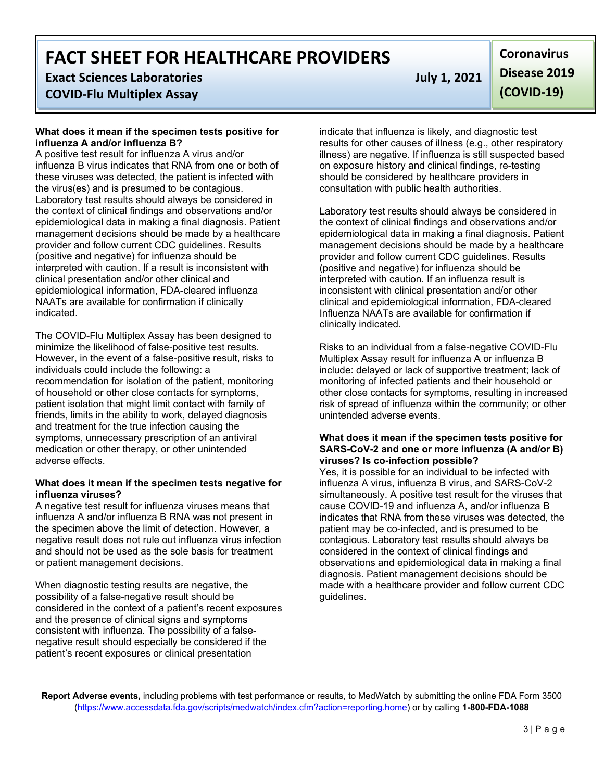## **Exact Sciences Laboratories July 1, 2021**

### **COVID-Flu Multiplex Assay**

#### **What does it mean if the specimen tests positive for influenza A and/or influenza B?**

A positive test result for influenza A virus and/or influenza B virus indicates that RNA from one or both of these viruses was detected, the patient is infected with the virus(es) and is presumed to be contagious. Laboratory test results should always be considered in the context of clinical findings and observations and/or epidemiological data in making a final diagnosis. Patient management decisions should be made by a healthcare provider and follow current CDC guidelines. Results (positive and negative) for influenza should be interpreted with caution. If a result is inconsistent with clinical presentation and/or other clinical and epidemiological information, FDA-cleared influenza NAATs are available for confirmation if clinically indicated.

The COVID-Flu Multiplex Assay has been designed to minimize the likelihood of false-positive test results. However, in the event of a false-positive result, risks to individuals could include the following: a recommendation for isolation of the patient, monitoring of household or other close contacts for symptoms, patient isolation that might limit contact with family of friends, limits in the ability to work, delayed diagnosis and treatment for the true infection causing the symptoms, unnecessary prescription of an antiviral medication or other therapy, or other unintended adverse effects.

#### **What does it mean if the specimen tests negative for influenza viruses?**

A negative test result for influenza viruses means that influenza A and/or influenza B RNA was not present in the specimen above the limit of detection. However, a negative result does not rule out influenza virus infection and should not be used as the sole basis for treatment or patient management decisions.

When diagnostic testing results are negative, the possibility of a false-negative result should be considered in the context of a patient's recent exposures and the presence of clinical signs and symptoms consistent with influenza. The possibility of a falsenegative result should especially be considered if the patient's recent exposures or clinical presentation

**Coronavirus Disease 2019 (COVID-19)**

indicate that influenza is likely, and diagnostic test results for other causes of illness (e.g., other respiratory illness) are negative. If influenza is still suspected based on exposure history and clinical findings, re-testing should be considered by healthcare providers in consultation with public health authorities.

Laboratory test results should always be considered in the context of clinical findings and observations and/or epidemiological data in making a final diagnosis. Patient management decisions should be made by a healthcare provider and follow current CDC guidelines. Results (positive and negative) for influenza should be interpreted with caution. If an influenza result is inconsistent with clinical presentation and/or other clinical and epidemiological information, FDA-cleared Influenza NAATs are available for confirmation if clinically indicated.

Risks to an individual from a false-negative COVID-Flu Multiplex Assay result for influenza A or influenza B include: delayed or lack of supportive treatment; lack of monitoring of infected patients and their household or other close contacts for symptoms, resulting in increased risk of spread of influenza within the community; or other unintended adverse events.

#### **What does it mean if the specimen tests positive for SARS-CoV-2 and one or more influenza (A and/or B) viruses? Is co-infection possible?**

Yes, it is possible for an individual to be infected with influenza A virus, influenza B virus, and SARS-CoV-2 simultaneously. A positive test result for the viruses that cause COVID-19 and influenza A, and/or influenza B indicates that RNA from these viruses was detected, the patient may be co-infected, and is presumed to be contagious. Laboratory test results should always be considered in the context of clinical findings and observations and epidemiological data in making a final diagnosis. Patient management decisions should be made with a healthcare provider and follow current CDC guidelines.

**Report Adverse events,** including problems with test performance or results, to MedWatch by submitting the online FDA Form 3500 [\(https://www.accessdata.fda.gov/scripts/medwatch/index.cfm?action=reporting.home\)](https://www.accessdata.fda.gov/scripts/medwatch/index.cfm?action=reporting.home) or by calling **1-800-FDA-1088**